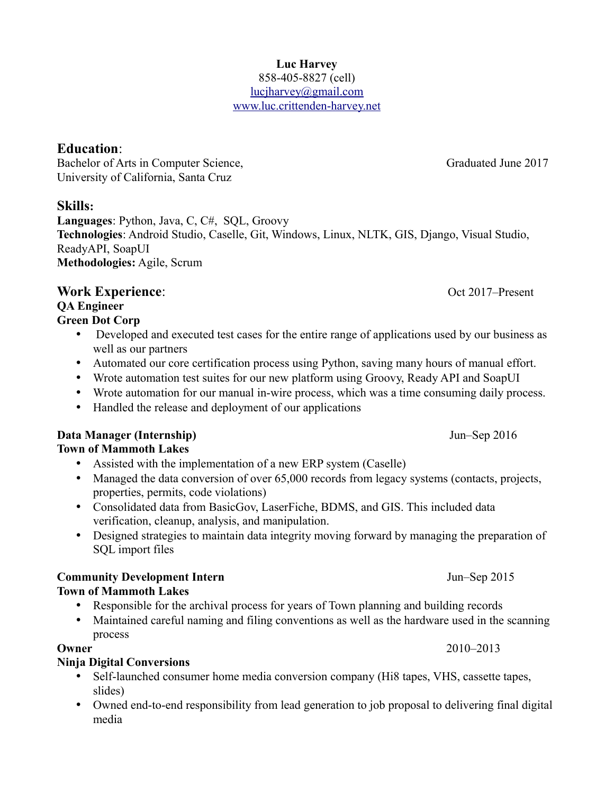#### **Luc Harvey** 858-405-8827 (cell) lucjharvey@gmail.com www.luc.crittenden-harvey.net

# **Education**:

Bachelor of Arts in Computer Science, Graduated June 2017 University of California, Santa Cruz

# **Skills:**

**Languages**: Python, Java, C, C#, SQL, Groovy **Technologies**: Android Studio, Caselle, Git, Windows, Linux, NLTK, GIS, Django, Visual Studio, ReadyAPI, SoapUI **Methodologies:** Agile, Scrum

# **Work Experience:** Oct 2017–Present

**QA Engineer Green Dot Corp**

- Developed and executed test cases for the entire range of applications used by our business as well as our partners
- Automated our core certification process using Python, saving many hours of manual effort.
- Wrote automation test suites for our new platform using Groovy, Ready API and SoapUI
- Wrote automation for our manual in-wire process, which was a time consuming daily process.
- Handled the release and deployment of our applications

#### **Data Manager (Internship)** Jun–Sep 2016 **Town of Mammoth Lakes**

- Assisted with the implementation of a new ERP system (Caselle)
- Managed the data conversion of over 65,000 records from legacy systems (contacts, projects, properties, permits, code violations)
- Consolidated data from BasicGov, LaserFiche, BDMS, and GIS. This included data verification, cleanup, analysis, and manipulation.
- Designed strategies to maintain data integrity moving forward by managing the preparation of SQL import files

# **Community Development Intern**  $\mu$  **Jun–Sep 2015**

# **Town of Mammoth Lakes**

- Responsible for the archival process for years of Town planning and building records
- Maintained careful naming and filing conventions as well as the hardware used in the scanning process

# **Ninja Digital Conversions**

- Self-launched consumer home media conversion company (Hi8 tapes, VHS, cassette tapes, slides)
- Owned end-to-end responsibility from lead generation to job proposal to delivering final digital media

**Owner** 2010–2013